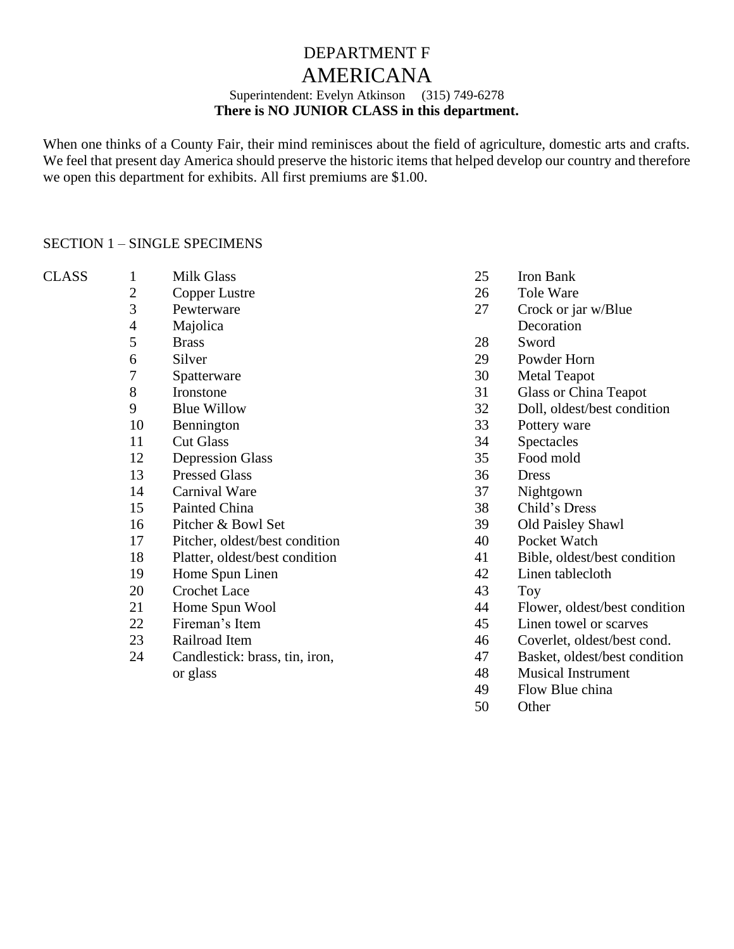# DEPARTMENT F

## AMERICANA

### Superintendent: Evelyn Atkinson (315) 749-6278 **There is NO JUNIOR CLASS in this department.**

When one thinks of a County Fair, their mind reminisces about the field of agriculture, domestic arts and crafts. We feel that present day America should preserve the historic items that helped develop our country and therefore we open this department for exhibits. All first premiums are \$1.00.

#### SECTION 1 – SINGLE SPECIMENS

| <b>CLASS</b> |   |
|--------------|---|
|              | 2 |
|              | 3 |
|              |   |

Pewterware

**Milk Glass** Copper Lustre

- Majolica
- Brass
- Silver
- Spatterware
- Ironstone
- Blue Willow
- Bennington
- Cut Glass
- Depression Glass
- Pressed Glass
- Carnival Ware
- Painted China
- Pitcher & Bowl Set
- Pitcher, oldest/best condition
- Platter, oldest/best condition
- Home Spun Linen
- Crochet Lace
- Home Spun Wool
- Fireman's Item
- Railroad Item
- Candlestick: brass, tin, iron, or glass
- Iron Bank
- Tole Ware
- Crock or jar w/Blue
- **Decoration**
- Sword
- Powder Horn
- Metal Teapot
- Glass or China Teapot
- Doll, oldest/best condition
- Pottery ware
- Spectacles
- Food mold
- Dress
- Nightgown
- Child's Dress
- Old Paisley Shawl
- Pocket Watch
- Bible, oldest/best condition
- Linen tablecloth
- Toy
- Flower, oldest/best condition
- Linen towel or scarves
- Coverlet, oldest/best cond.
- Basket, oldest/best condition
- Musical Instrument
- Flow Blue china
- Other